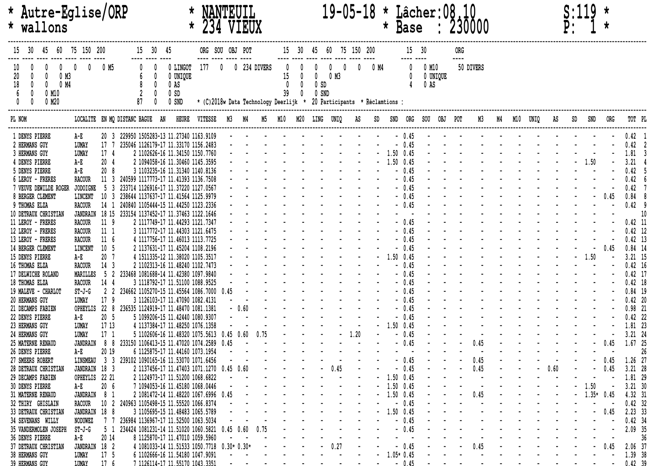| * Autre-Eglise/ORP<br>* wallons                                                        |                                 |                                  |    | $\star$ | VIEUX                                       |                                                |      |                                 |                                                                                       | 19-05-18 * Lâcher: 08<br><b>Base</b><br>$\star$<br>: 230000 |                   |             |                      |                 |      |              |           |                                |  |             |                                          |  |  |         |  |              |         |                |
|----------------------------------------------------------------------------------------|---------------------------------|----------------------------------|----|---------|---------------------------------------------|------------------------------------------------|------|---------------------------------|---------------------------------------------------------------------------------------|-------------------------------------------------------------|-------------------|-------------|----------------------|-----------------|------|--------------|-----------|--------------------------------|--|-------------|------------------------------------------|--|--|---------|--|--------------|---------|----------------|
|                                                                                        | 60 75 150 200                   |                                  |    | 30 45   |                                             |                                                |      | ORG SOU OBJ POT                 |                                                                                       |                                                             |                   |             | 60 75 150 200        |                 |      |              |           |                                |  | ORG<br>---- |                                          |  |  |         |  |              |         |                |
| 10<br>20<br>0 M3<br>18<br>$\theta$<br>0<br>0 M4<br>$\mathbf{0}$<br>$0$ M1 $0$<br>0 M20 |                                 | 0 M5                             | 87 |         | 0 LINGOT<br>0 UNIQUE<br>0 AS<br>0S<br>0 SND | 177                                            |      |                                 | 0 234 DIVERS<br>* (C)2018w Data Technology Deerlijk * 20 Participants * Réclamtions : | 15<br>$\mathbf 0$<br>39                                     | 0<br>$\mathbf{0}$ | 0S<br>0 SND | 0 M3                 |                 | 0 M4 |              |           | $0$ M1 $0$<br>0 UNIQUE<br>0 AS |  |             | 50 DIVERS                                |  |  |         |  |              |         |                |
| PL NOM                                                                                 | LOCALITE EN MQ DISTANC BAGUE AN |                                  |    |         |                                             |                                                |      |                                 |                                                                                       |                                                             |                   |             | M5 M10 M20 LING UNIQ | AS              |      |              |           | SND ORG SOU OBJ POT            |  |             |                                          |  |  |         |  |              |         |                |
| 1 DENYS PIERRE                                                                         | A-E                             |                                  |    |         |                                             | 20 3 229950 1505283-13 11.27340 1163.9109      |      |                                 |                                                                                       |                                                             |                   |             |                      |                 |      |              | $-0.45$   |                                |  |             |                                          |  |  |         |  |              |         | $0.42$ 1       |
| 2 HERMANS GUY                                                                          | LUMAY                           | 17                               |    |         |                                             | 235046 1126179-17 11.33170 1156.2483           |      |                                 |                                                                                       |                                                             |                   |             |                      |                 |      |              | $-0.45$   |                                |  |             |                                          |  |  |         |  |              |         | 0.42 2         |
| 3 HERMANS GUY                                                                          | LUMAY                           | 17 <sub>4</sub>                  |    |         |                                             | 2 1102626-16 11.34150 1150.7760                |      |                                 |                                                                                       |                                                             |                   |             |                      |                 |      | $-1.50$ 0.45 |           |                                |  |             |                                          |  |  |         |  |              |         | 1.81 3         |
| 4 DENYS PIERRE                                                                         | A-E                             | 204                              |    |         |                                             | 2 1094058-16 11.30460 1145.3595                |      |                                 |                                                                                       |                                                             |                   |             |                      |                 |      |              | 1.50 0.45 |                                |  |             |                                          |  |  |         |  |              |         | $3.21 \quad 4$ |
| 5 DENYS PIERRE                                                                         | $A - E$                         | 20                               |    |         |                                             | 3 1103235-16 11.31340 1140.8136                |      |                                 |                                                                                       |                                                             |                   |             |                      |                 |      |              | $-0.45$   |                                |  |             |                                          |  |  |         |  |              |         | 0.42<br>- 5    |
| 6 LEROY - FRERES                                                                       | <b>RACOUR</b>                   | 11                               |    |         |                                             | 240599 1117773-17 11.41393 1136.7508           |      |                                 |                                                                                       |                                                             |                   |             |                      |                 |      |              | $-0.45$   |                                |  |             |                                          |  |  |         |  |              |         | 0.42           |
| 7 VEUVE DEWILDE ROGER                                                                  | <b>JODOIGNE</b>                 | -5<br>-3                         |    |         |                                             | 233714 1126916-17 11.37220 1127.0567           |      |                                 |                                                                                       |                                                             |                   |             |                      |                 |      |              | $-0.45$   |                                |  |             |                                          |  |  |         |  |              |         | 0.42           |
| 8 BERGER CLEMENT                                                                       | LINCENT                         | 10<br>3                          |    |         |                                             | 238644 1137637-17 11.41564 1125.9979           |      |                                 |                                                                                       |                                                             |                   |             |                      |                 |      |              | $-0.45$   |                                |  |             |                                          |  |  |         |  |              | 0.45    | $0.84$ 8       |
| 9 THOMAS ELZA                                                                          |                                 |                                  |    |         |                                             | 240840 1105444-15 11.44250 1123.2336           |      |                                 |                                                                                       |                                                             |                   |             |                      |                 |      |              | $-0.45$   |                                |  |             |                                          |  |  |         |  |              |         | $0.42$ 9       |
|                                                                                        | <b>RACOUR</b>                   | 14 1                             |    |         |                                             | 18 15 233154 1137452-17 11.37463 1122.1646     |      |                                 |                                                                                       |                                                             |                   |             |                      |                 |      |              |           |                                |  |             |                                          |  |  |         |  |              |         |                |
| 10 DETRAUX CHRISTIAN                                                                   | JANDRAIN                        |                                  |    |         |                                             |                                                |      |                                 |                                                                                       |                                                             |                   |             |                      |                 |      |              | $-0.45$   |                                |  |             |                                          |  |  |         |  |              |         | 10             |
| 11 LEROY - FRERES                                                                      | <b>RACOUR</b>                   | 11 <sub>9</sub>                  |    |         |                                             | 2 1117749-17 11.44293 1121.7347                |      |                                 |                                                                                       |                                                             |                   |             |                      |                 |      |              |           |                                |  |             |                                          |  |  |         |  |              |         | $0.42$ 11      |
| 12 LEROY - FRERES                                                                      | <b>RACOUR</b>                   | 11 <sub>1</sub>                  |    |         |                                             | 3 1117772-17 11.44303 1121.6475                |      |                                 |                                                                                       |                                                             |                   |             |                      |                 |      |              | $-0.45$   |                                |  |             |                                          |  |  |         |  |              |         | $0.42$ 12      |
| 13 LEROY - FRERES                                                                      | <b>RACOUR</b>                   | 11 <sub>6</sub>                  |    |         |                                             | 4 1117756-17 11.46013 1113.7725                |      |                                 |                                                                                       |                                                             |                   |             |                      |                 |      |              | $-0.45$   |                                |  |             |                                          |  |  |         |  |              |         | $0.42$ 13      |
| 14 BERGER CLEMENT                                                                      | LINCENT                         | 10 <sub>5</sub>                  |    |         |                                             | 2 1137631-17 11.45204 1108.2196                |      |                                 |                                                                                       |                                                             |                   |             |                      |                 |      |              | $-0.45$   |                                |  |             |                                          |  |  |         |  |              | 0.45    | $0.84$ 14      |
| 15 DENYS PIERRE                                                                        | A-E                             | 20 <sub>7</sub>                  |    |         |                                             | 4 1511335-12 11.38020 1105.3517                |      |                                 |                                                                                       |                                                             |                   |             |                      |                 |      |              | 1.50 0.45 |                                |  |             |                                          |  |  |         |  | 1.50         |         | $3.21$ 15      |
| <b>16 THOMAS ELZA</b>                                                                  | <b>RACOUR</b>                   | 14 <sup>3</sup>                  |    |         |                                             | 2 1102313-16 11.48240 1102.7473                |      |                                 |                                                                                       |                                                             |                   |             |                      |                 |      |              | 0.45      |                                |  |             |                                          |  |  |         |  |              |         | $0.42$ 16      |
| 17 DELWICHE ROLAND                                                                     | MARILLES                        | 5 <sub>2</sub>                   |    |         |                                             | 233468 1081688-14 11.42380 1097.9840           |      |                                 |                                                                                       |                                                             |                   |             |                      |                 |      |              | 0.45      |                                |  |             |                                          |  |  |         |  |              |         | $0.42$ 17      |
| 18 THOMAS ELZA                                                                         | <b>RACOUR</b>                   | 14 4                             |    |         |                                             | 3 1118792-17 11.51100 1088.9525                |      |                                 |                                                                                       |                                                             |                   |             |                      |                 |      |              | $-0.45$   |                                |  |             |                                          |  |  |         |  |              |         | $0.42$ 18      |
| 19 MALEVE - CHARLOT                                                                    | $ST-J-G$                        | $\overline{2}$<br>$\overline{2}$ |    |         |                                             | 234662 1105270-15 11.45564 1086.7000           | 0.45 |                                 |                                                                                       |                                                             |                   |             |                      |                 |      |              | $-0.45$   |                                |  |             |                                          |  |  |         |  |              |         | $0.84$ 19      |
| 20 HERMANS GUY                                                                         | LUMAY                           | 17 <sup>9</sup>                  |    |         |                                             | 3 1126103-17 11.47090 1082.4131                |      |                                 |                                                                                       |                                                             |                   |             |                      |                 |      |              | $-0.45$   |                                |  |             |                                          |  |  |         |  |              |         | $0.42$ 20      |
| 21 DECAMPS FABIEN                                                                      | OPHEYLIS                        | 228                              |    |         |                                             | 236535 1124919-17 11.48470 1081.1381           |      | $-0.60$                         |                                                                                       |                                                             |                   |             |                      |                 |      |              | $-0.45$   |                                |  |             |                                          |  |  |         |  |              |         | $0.98$ 21      |
| 22 DENYS PIERRE                                                                        | A-E                             | 20 <sub>5</sub>                  |    |         |                                             | 5 1099206-15 11.42440 1080.9307                |      |                                 |                                                                                       |                                                             |                   |             |                      |                 |      |              | $-0.45$   |                                |  |             |                                          |  |  |         |  |              |         | $0.42$ 22      |
| 23 HERMANS GUY                                                                         | LUMAY                           | 17 13                            |    |         |                                             | 4 1137384-17 11.48250 1076.1358                |      |                                 |                                                                                       |                                                             |                   |             |                      |                 |      |              | 1.50 0.45 |                                |  |             |                                          |  |  |         |  |              |         | 1.81 23        |
| 24 HERMANS GUY                                                                         | LUMAY                           | 17 <sub>1</sub>                  |    |         |                                             | 5 1102606-16 11.48320 1075.5613                |      | 0.45 0.60                       |                                                                                       |                                                             |                   |             |                      |                 |      |              | $-0.45$   |                                |  |             |                                          |  |  |         |  |              |         | $3.21$ 24      |
| 25 MATERNE RENAUD                                                                      | JANDRAIN                        | 88                               |    |         |                                             | 233150 1106413-15 11.47020 1074.2589           | 0.45 |                                 |                                                                                       |                                                             |                   |             |                      |                 |      |              | $-0.45$   |                                |  |             | 0.45                                     |  |  |         |  |              | 0.45    | 1.67 25        |
| 26 DENYS PIERRE                                                                        | $A - E$                         | 20 19                            |    |         |                                             | 6 1125875-17 11.44160 1073.1954                |      |                                 |                                                                                       |                                                             |                   |             |                      |                 |      |              |           |                                |  |             |                                          |  |  |         |  |              |         | 26             |
| 27 SMEERS ROBERT                                                                       | LINSMEAU                        |                                  |    |         |                                             | 3 3 239102 1090165-16 11.53070 1071.6456       |      |                                 |                                                                                       |                                                             |                   |             |                      |                 |      |              | $-0.45$   |                                |  |             | 0.45                                     |  |  |         |  |              | 0.45    | 1.26 27        |
| 28 DETRAUX CHRISTIAN                                                                   | JANDRAIN 18 3                   |                                  |    |         |                                             | 2 1137456-17 11.47403 1071.1270 0.45 0.60      |      |                                 |                                                                                       |                                                             |                   |             | $-$ 0.45             |                 |      |              | $-0.45$   |                                |  |             | 0.45                                     |  |  | $-0.60$ |  |              | 0.45    | $3.21$ 28      |
| 29 DECAMPS FABIEN                                                                      | OPHEYLIS 22 21                  |                                  |    |         |                                             | 2 1124973-17 11.51200 1068.6822                |      |                                 |                                                                                       |                                                             |                   |             |                      |                 |      | $-1.50$ 0.45 |           |                                |  |             |                                          |  |  |         |  |              |         | 1.81 29        |
| <b>30 DENYS PIERRE</b>                                                                 | A-E                             | 20 <sub>6</sub>                  |    |         |                                             | 7 1094053-16 11.45180 1068.0446                |      |                                 |                                                                                       |                                                             |                   |             |                      |                 |      |              |           |                                |  |             |                                          |  |  |         |  |              |         | $3.21$ 30      |
| 31 MATERNE RENAUD                                                                      | JANDRAIN 8 1                    |                                  |    |         |                                             | 2 1081472-14 11.48220 1067.6996 0.45           |      |                                 |                                                                                       |                                                             |                   |             |                      |                 |      |              |           |                                |  |             |                                          |  |  |         |  | $-1.35*0.45$ |         | 4.32 31        |
| 32 THIRY GHISLAIN                                                                      | <b>RACOUR</b>                   |                                  |    |         |                                             | 10 2 240963 1105498-15 11.55520 1066.8374      |      |                                 |                                                                                       |                                                             |                   |             |                      |                 |      |              |           |                                |  |             |                                          |  |  |         |  |              |         | $0.42$ 32      |
| 33 DETRAUX CHRISTIAN                                                                   | JANDRAIN 18 8                   |                                  |    |         |                                             | 3 1105695-15 11.48483 1065.5789                |      |                                 |                                                                                       |                                                             |                   |             |                      |                 |      |              |           |                                |  |             |                                          |  |  |         |  |              | $-0.45$ | 2.23 33        |
| 34 SEVENANS WILLY                                                                      | NODUWEZ                         |                                  |    |         |                                             | 236984 1136967-17 11.52500 1063.5034           |      |                                 |                                                                                       |                                                             |                   |             |                      |                 |      |              |           |                                |  |             |                                          |  |  |         |  |              |         | $0.42$ 34      |
| 35 VANDERMOLEN JOSEPH                                                                  | ST-J-G                          | 51                               |    |         |                                             | 234424 1081231-14 11.51020 1060.5821 0.45 0.60 |      |                                 |                                                                                       |                                                             |                   |             |                      |                 |      |              |           |                                |  |             |                                          |  |  |         |  |              |         | 2.09 35        |
| 36 DENYS PIERRE                                                                        | A-E                             | 20 14                            |    |         |                                             | 8 1125870-17 11.47010 1059.5960                |      |                                 |                                                                                       |                                                             |                   |             |                      |                 |      |              |           |                                |  |             |                                          |  |  |         |  |              |         | 36             |
| 37 DETRAUX CHRISTIAN                                                                   | JANDRAIN 18 2                   |                                  |    |         |                                             | 4 1081033-14 11.51533 1050.7718 0.30* 0.30*    |      |                                 |                                                                                       |                                                             |                   |             | $-0.27$              | and the company |      |              |           | $-0.45$ $  0.45$ $    -$       |  |             |                                          |  |  |         |  |              | $-0.45$ | 2.06 37        |
| <b>38 HERMANS GUY</b>                                                                  | LUMAY                           | 17 <sub>5</sub>                  |    |         |                                             | 6 1102666-16 11.54180 1047.9091                |      | $\mathbf{a}$ , and $\mathbf{a}$ |                                                                                       |                                                             |                   |             | and the company's    |                 |      | $-1.05*0.45$ |           |                                |  |             | the contract of the contract of the con- |  |  |         |  |              |         | 1.39 38        |
| 39 HERMANS GITY                                                                        | T.ITMAY                         | 17 <sub>6</sub>                  |    |         |                                             | 7 1126114-17 11 55170 1043 3351                |      |                                 |                                                                                       |                                                             |                   |             |                      |                 |      |              |           |                                |  |             | and the company of the company of        |  |  |         |  |              |         | $- - 04239$    |